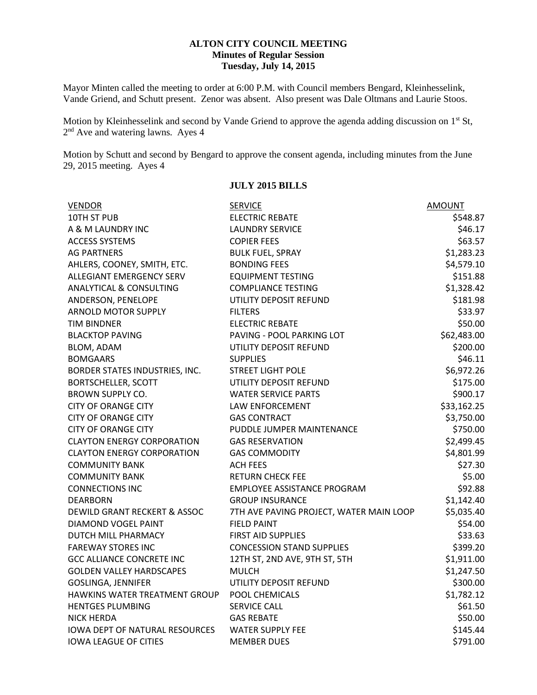#### **ALTON CITY COUNCIL MEETING Minutes of Regular Session Tuesday, July 14, 2015**

Mayor Minten called the meeting to order at 6:00 P.M. with Council members Bengard, Kleinhesselink, Vande Griend, and Schutt present. Zenor was absent. Also present was Dale Oltmans and Laurie Stoos.

Motion by Kleinhesselink and second by Vande Griend to approve the agenda adding discussion on 1<sup>st</sup> St, 2<sup>nd</sup> Ave and watering lawns. Ayes 4

Motion by Schutt and second by Bengard to approve the consent agenda, including minutes from the June 29, 2015 meeting. Ayes 4

| <b>VENDOR</b>                         | <b>SERVICE</b>                          | <b>AMOUNT</b> |
|---------------------------------------|-----------------------------------------|---------------|
| 10TH ST PUB                           | <b>ELECTRIC REBATE</b>                  | \$548.87      |
| A & M LAUNDRY INC                     | <b>LAUNDRY SERVICE</b>                  | \$46.17       |
| <b>ACCESS SYSTEMS</b>                 | <b>COPIER FEES</b>                      | \$63.57       |
| <b>AG PARTNERS</b>                    | <b>BULK FUEL, SPRAY</b>                 | \$1,283.23    |
| AHLERS, COONEY, SMITH, ETC.           | <b>BONDING FEES</b>                     | \$4,579.10    |
| <b>ALLEGIANT EMERGENCY SERV</b>       | <b>EQUIPMENT TESTING</b>                | \$151.88      |
| <b>ANALYTICAL &amp; CONSULTING</b>    | <b>COMPLIANCE TESTING</b>               | \$1,328.42    |
| ANDERSON, PENELOPE                    | UTILITY DEPOSIT REFUND                  | \$181.98      |
| <b>ARNOLD MOTOR SUPPLY</b>            | <b>FILTERS</b>                          | \$33.97       |
| TIM BINDNER                           | <b>ELECTRIC REBATE</b>                  | \$50.00       |
| <b>BLACKTOP PAVING</b>                | PAVING - POOL PARKING LOT               | \$62,483.00   |
| BLOM, ADAM                            | UTILITY DEPOSIT REFUND                  | \$200.00      |
| <b>BOMGAARS</b>                       | <b>SUPPLIES</b>                         | \$46.11       |
| BORDER STATES INDUSTRIES, INC.        | <b>STREET LIGHT POLE</b>                | \$6,972.26    |
| <b>BORTSCHELLER, SCOTT</b>            | UTILITY DEPOSIT REFUND                  | \$175.00      |
| <b>BROWN SUPPLY CO.</b>               | <b>WATER SERVICE PARTS</b>              | \$900.17      |
| <b>CITY OF ORANGE CITY</b>            | LAW ENFORCEMENT                         | \$33,162.25   |
| CITY OF ORANGE CITY                   | <b>GAS CONTRACT</b>                     | \$3,750.00    |
| <b>CITY OF ORANGE CITY</b>            | PUDDLE JUMPER MAINTENANCE               | \$750.00      |
| <b>CLAYTON ENERGY CORPORATION</b>     | <b>GAS RESERVATION</b>                  | \$2,499.45    |
| <b>CLAYTON ENERGY CORPORATION</b>     | <b>GAS COMMODITY</b>                    | \$4,801.99    |
| <b>COMMUNITY BANK</b>                 | <b>ACH FEES</b>                         | \$27.30       |
| <b>COMMUNITY BANK</b>                 | <b>RETURN CHECK FEE</b>                 | \$5.00        |
| <b>CONNECTIONS INC</b>                | <b>EMPLOYEE ASSISTANCE PROGRAM</b>      | \$92.88       |
| <b>DEARBORN</b>                       | <b>GROUP INSURANCE</b>                  | \$1,142.40    |
| DEWILD GRANT RECKERT & ASSOC          | 7TH AVE PAVING PROJECT, WATER MAIN LOOP | \$5,035.40    |
| DIAMOND VOGEL PAINT                   | <b>FIELD PAINT</b>                      | \$54.00       |
| DUTCH MILL PHARMACY                   | <b>FIRST AID SUPPLIES</b>               | \$33.63       |
| <b>FAREWAY STORES INC</b>             | <b>CONCESSION STAND SUPPLIES</b>        | \$399.20      |
| <b>GCC ALLIANCE CONCRETE INC</b>      | 12TH ST, 2ND AVE, 9TH ST, 5TH           | \$1,911.00    |
| <b>GOLDEN VALLEY HARDSCAPES</b>       | <b>MULCH</b>                            | \$1,247.50    |
| GOSLINGA, JENNIFER                    | UTILITY DEPOSIT REFUND                  | \$300.00      |
| HAWKINS WATER TREATMENT GROUP         | POOL CHEMICALS                          | \$1,782.12    |
| <b>HENTGES PLUMBING</b>               | SERVICE CALL                            | \$61.50       |
| <b>NICK HERDA</b>                     | <b>GAS REBATE</b>                       | \$50.00       |
| <b>IOWA DEPT OF NATURAL RESOURCES</b> | <b>WATER SUPPLY FEE</b>                 | \$145.44      |
| <b>IOWA LEAGUE OF CITIES</b>          | <b>MEMBER DUES</b>                      | \$791.00      |

### **JULY 2015 BILLS**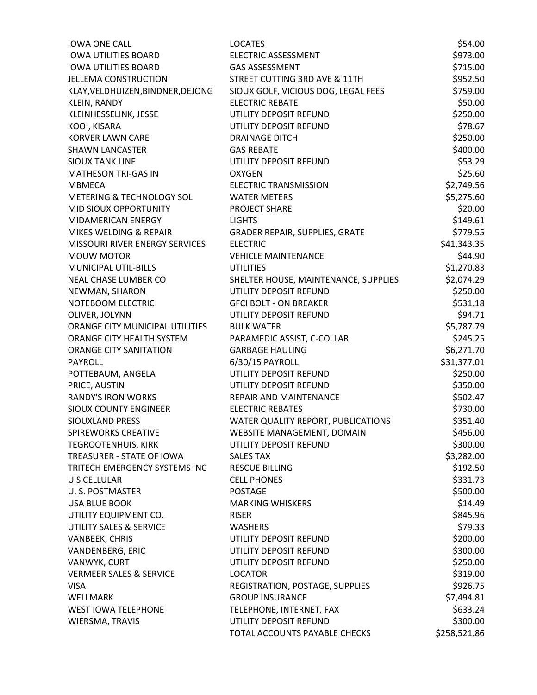| <b>IOWA ONE CALL</b>               | <b>LOCATES</b>                                           | \$54.00      |
|------------------------------------|----------------------------------------------------------|--------------|
| <b>IOWA UTILITIES BOARD</b>        | <b>ELECTRIC ASSESSMENT</b>                               | \$973.00     |
| <b>IOWA UTILITIES BOARD</b>        | <b>GAS ASSESSMENT</b>                                    | \$715.00     |
| <b>JELLEMA CONSTRUCTION</b>        | STREET CUTTING 3RD AVE & 11TH                            | \$952.50     |
| KLAY, VELDHUIZEN, BINDNER, DEJONG  | SIOUX GOLF, VICIOUS DOG, LEGAL FEES                      | \$759.00     |
| <b>KLEIN, RANDY</b>                | <b>ELECTRIC REBATE</b>                                   | \$50.00      |
| KLEINHESSELINK, JESSE              | UTILITY DEPOSIT REFUND                                   | \$250.00     |
| KOOI, KISARA                       | UTILITY DEPOSIT REFUND                                   | \$78.67      |
| <b>KORVER LAWN CARE</b>            | <b>DRAINAGE DITCH</b>                                    | \$250.00     |
| <b>SHAWN LANCASTER</b>             | <b>GAS REBATE</b>                                        | \$400.00     |
| <b>SIOUX TANK LINE</b>             | UTILITY DEPOSIT REFUND                                   | \$53.29      |
| <b>MATHESON TRI-GAS IN</b>         | <b>OXYGEN</b>                                            | \$25.60      |
| <b>MBMECA</b>                      | <b>ELECTRIC TRANSMISSION</b>                             | \$2,749.56   |
| METERING & TECHNOLOGY SOL          | <b>WATER METERS</b>                                      | \$5,275.60   |
| MID SIOUX OPPORTUNITY              | PROJECT SHARE                                            | \$20.00      |
| MIDAMERICAN ENERGY                 | <b>LIGHTS</b>                                            | \$149.61     |
| MIKES WELDING & REPAIR             |                                                          | \$779.55     |
| MISSOURI RIVER ENERGY SERVICES     | <b>GRADER REPAIR, SUPPLIES, GRATE</b><br><b>ELECTRIC</b> |              |
|                                    | <b>VEHICLE MAINTENANCE</b>                               | \$41,343.35  |
| <b>MOUW MOTOR</b>                  |                                                          | \$44.90      |
| MUNICIPAL UTIL-BILLS               | <b>UTILITIES</b>                                         | \$1,270.83   |
| <b>NEAL CHASE LUMBER CO</b>        | SHELTER HOUSE, MAINTENANCE, SUPPLIES                     | \$2,074.29   |
| NEWMAN, SHARON                     | UTILITY DEPOSIT REFUND                                   | \$250.00     |
| NOTEBOOM ELECTRIC                  | <b>GFCI BOLT - ON BREAKER</b>                            | \$531.18     |
| OLIVER, JOLYNN                     | UTILITY DEPOSIT REFUND                                   | \$94.71      |
| ORANGE CITY MUNICIPAL UTILITIES    | <b>BULK WATER</b>                                        | \$5,787.79   |
| ORANGE CITY HEALTH SYSTEM          | PARAMEDIC ASSIST, C-COLLAR                               | \$245.25     |
| ORANGE CITY SANITATION             | <b>GARBAGE HAULING</b>                                   | \$6,271.70   |
| <b>PAYROLL</b>                     | 6/30/15 PAYROLL                                          | \$31,377.01  |
| POTTEBAUM, ANGELA                  | UTILITY DEPOSIT REFUND                                   | \$250.00     |
| PRICE, AUSTIN                      | UTILITY DEPOSIT REFUND                                   | \$350.00     |
| <b>RANDY'S IRON WORKS</b>          | REPAIR AND MAINTENANCE                                   | \$502.47     |
| <b>SIOUX COUNTY ENGINEER</b>       | <b>ELECTRIC REBATES</b>                                  | \$730.00     |
| <b>SIOUXLAND PRESS</b>             | WATER QUALITY REPORT, PUBLICATIONS                       | \$351.40     |
| SPIREWORKS CREATIVE                | WEBSITE MANAGEMENT, DOMAIN                               | \$456.00     |
| <b>TEGROOTENHUIS, KIRK</b>         | UTILITY DEPOSIT REFUND                                   | \$300.00     |
| TREASURER - STATE OF IOWA          | <b>SALES TAX</b>                                         | \$3,282.00   |
| TRITECH EMERGENCY SYSTEMS INC      | <b>RESCUE BILLING</b>                                    | \$192.50     |
| U S CELLULAR                       | <b>CELL PHONES</b>                                       | \$331.73     |
| U.S. POSTMASTER                    | <b>POSTAGE</b>                                           | \$500.00     |
| <b>USA BLUE BOOK</b>               | <b>MARKING WHISKERS</b>                                  | \$14.49      |
| UTILITY EQUIPMENT CO.              | <b>RISER</b>                                             | \$845.96     |
| UTILITY SALES & SERVICE            | <b>WASHERS</b>                                           | \$79.33      |
| VANBEEK, CHRIS                     | UTILITY DEPOSIT REFUND                                   | \$200.00     |
| <b>VANDENBERG, ERIC</b>            | UTILITY DEPOSIT REFUND                                   | \$300.00     |
| VANWYK, CURT                       | UTILITY DEPOSIT REFUND                                   | \$250.00     |
| <b>VERMEER SALES &amp; SERVICE</b> | <b>LOCATOR</b>                                           | \$319.00     |
| <b>VISA</b>                        | REGISTRATION, POSTAGE, SUPPLIES                          | \$926.75     |
| <b>WELLMARK</b>                    | <b>GROUP INSURANCE</b>                                   | \$7,494.81   |
| <b>WEST IOWA TELEPHONE</b>         | TELEPHONE, INTERNET, FAX                                 | \$633.24     |
| WIERSMA, TRAVIS                    | UTILITY DEPOSIT REFUND                                   | \$300.00     |
|                                    | TOTAL ACCOUNTS PAYABLE CHECKS                            | \$258,521.86 |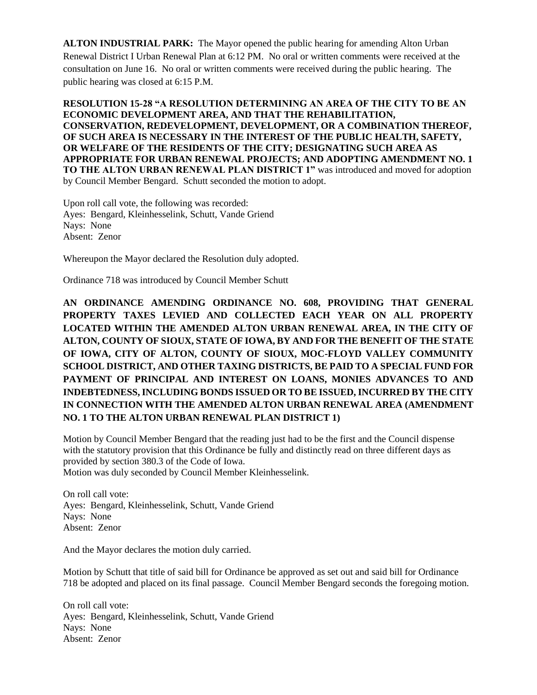**ALTON INDUSTRIAL PARK:** The Mayor opened the public hearing for amending Alton Urban Renewal District I Urban Renewal Plan at 6:12 PM. No oral or written comments were received at the consultation on June 16. No oral or written comments were received during the public hearing. The public hearing was closed at 6:15 P.M.

**RESOLUTION 15-28 "A RESOLUTION DETERMINING AN AREA OF THE CITY TO BE AN ECONOMIC DEVELOPMENT AREA, AND THAT THE REHABILITATION, CONSERVATION, REDEVELOPMENT, DEVELOPMENT, OR A COMBINATION THEREOF, OF SUCH AREA IS NECESSARY IN THE INTEREST OF THE PUBLIC HEALTH, SAFETY, OR WELFARE OF THE RESIDENTS OF THE CITY; DESIGNATING SUCH AREA AS APPROPRIATE FOR URBAN RENEWAL PROJECTS; AND ADOPTING AMENDMENT NO. 1 TO THE ALTON URBAN RENEWAL PLAN DISTRICT 1"** was introduced and moved for adoption by Council Member Bengard. Schutt seconded the motion to adopt.

Upon roll call vote, the following was recorded: Ayes: Bengard, Kleinhesselink, Schutt, Vande Griend Nays: None Absent: Zenor

Whereupon the Mayor declared the Resolution duly adopted.

Ordinance 718 was introduced by Council Member Schutt

**AN ORDINANCE AMENDING ORDINANCE NO. 608, PROVIDING THAT GENERAL PROPERTY TAXES LEVIED AND COLLECTED EACH YEAR ON ALL PROPERTY LOCATED WITHIN THE AMENDED ALTON URBAN RENEWAL AREA, IN THE CITY OF ALTON, COUNTY OF SIOUX, STATE OF IOWA, BY AND FOR THE BENEFIT OF THE STATE OF IOWA, CITY OF ALTON, COUNTY OF SIOUX, MOC-FLOYD VALLEY COMMUNITY SCHOOL DISTRICT, AND OTHER TAXING DISTRICTS, BE PAID TO A SPECIAL FUND FOR PAYMENT OF PRINCIPAL AND INTEREST ON LOANS, MONIES ADVANCES TO AND INDEBTEDNESS, INCLUDING BONDS ISSUED OR TO BE ISSUED, INCURRED BY THE CITY IN CONNECTION WITH THE AMENDED ALTON URBAN RENEWAL AREA (AMENDMENT NO. 1 TO THE ALTON URBAN RENEWAL PLAN DISTRICT 1)**

Motion by Council Member Bengard that the reading just had to be the first and the Council dispense with the statutory provision that this Ordinance be fully and distinctly read on three different days as provided by section 380.3 of the Code of Iowa. Motion was duly seconded by Council Member Kleinhesselink.

On roll call vote: Ayes: Bengard, Kleinhesselink, Schutt, Vande Griend Nays: None Absent: Zenor

And the Mayor declares the motion duly carried.

Motion by Schutt that title of said bill for Ordinance be approved as set out and said bill for Ordinance 718 be adopted and placed on its final passage. Council Member Bengard seconds the foregoing motion.

On roll call vote: Ayes: Bengard, Kleinhesselink, Schutt, Vande Griend Nays: None Absent: Zenor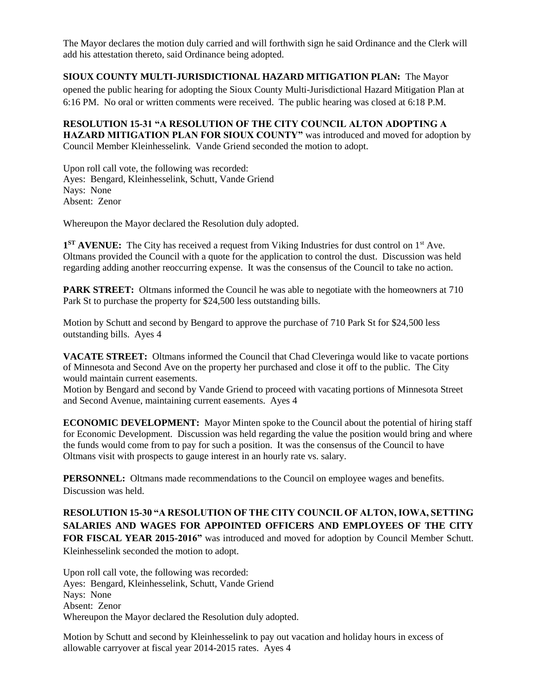The Mayor declares the motion duly carried and will forthwith sign he said Ordinance and the Clerk will add his attestation thereto, said Ordinance being adopted.

## **SIOUX COUNTY MULTI-JURISDICTIONAL HAZARD MITIGATION PLAN:** The Mayor

opened the public hearing for adopting the Sioux County Multi-Jurisdictional Hazard Mitigation Plan at 6:16 PM. No oral or written comments were received. The public hearing was closed at 6:18 P.M.

### **RESOLUTION 15-31 "A RESOLUTION OF THE CITY COUNCIL ALTON ADOPTING A HAZARD MITIGATION PLAN FOR SIOUX COUNTY"** was introduced and moved for adoption by Council Member Kleinhesselink. Vande Griend seconded the motion to adopt.

Upon roll call vote, the following was recorded: Ayes: Bengard, Kleinhesselink, Schutt, Vande Griend Nays: None Absent: Zenor

Whereupon the Mayor declared the Resolution duly adopted.

1<sup>ST</sup> AVENUE: The City has received a request from Viking Industries for dust control on 1<sup>st</sup> Ave. Oltmans provided the Council with a quote for the application to control the dust. Discussion was held regarding adding another reoccurring expense. It was the consensus of the Council to take no action.

**PARK STREET:** Oltmans informed the Council he was able to negotiate with the homeowners at 710 Park St to purchase the property for \$24,500 less outstanding bills.

Motion by Schutt and second by Bengard to approve the purchase of 710 Park St for \$24,500 less outstanding bills. Ayes 4

**VACATE STREET:** Oltmans informed the Council that Chad Cleveringa would like to vacate portions of Minnesota and Second Ave on the property her purchased and close it off to the public. The City would maintain current easements.

Motion by Bengard and second by Vande Griend to proceed with vacating portions of Minnesota Street and Second Avenue, maintaining current easements. Ayes 4

**ECONOMIC DEVELOPMENT:** Mayor Minten spoke to the Council about the potential of hiring staff for Economic Development. Discussion was held regarding the value the position would bring and where the funds would come from to pay for such a position. It was the consensus of the Council to have Oltmans visit with prospects to gauge interest in an hourly rate vs. salary.

**PERSONNEL:** Oltmans made recommendations to the Council on employee wages and benefits. Discussion was held.

**RESOLUTION 15-30 "A RESOLUTION OF THE CITY COUNCIL OF ALTON, IOWA, SETTING SALARIES AND WAGES FOR APPOINTED OFFICERS AND EMPLOYEES OF THE CITY FOR FISCAL YEAR 2015-2016"** was introduced and moved for adoption by Council Member Schutt. Kleinhesselink seconded the motion to adopt.

Upon roll call vote, the following was recorded: Ayes: Bengard, Kleinhesselink, Schutt, Vande Griend Nays: None Absent: Zenor Whereupon the Mayor declared the Resolution duly adopted.

Motion by Schutt and second by Kleinhesselink to pay out vacation and holiday hours in excess of allowable carryover at fiscal year 2014-2015 rates. Ayes 4